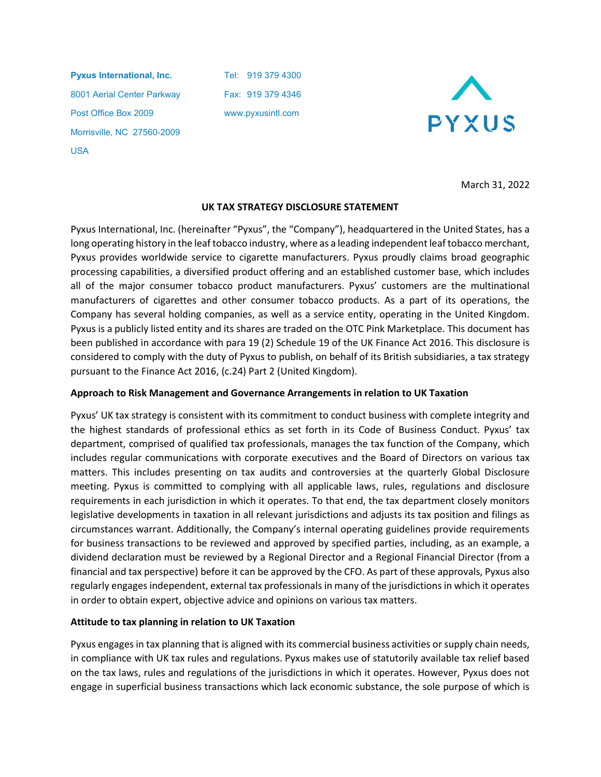Pyxus International, Inc. Tel: 919 379 4300 8001 Aerial Center Parkway Fax: 919 379 4346 Post Office Box 2009 www.pyxusintl.com Morrisville, NC 27560-2009 USA



March 31, 2022

## UK TAX STRATEGY DISCLOSURE STATEMENT

Pyxus International, Inc. (hereinafter "Pyxus", the "Company"), headquartered in the United States, has a long operating history in the leaf tobacco industry, where as a leading independent leaf tobacco merchant, Pyxus provides worldwide service to cigarette manufacturers. Pyxus proudly claims broad geographic processing capabilities, a diversified product offering and an established customer base, which includes all of the major consumer tobacco product manufacturers. Pyxus' customers are the multinational manufacturers of cigarettes and other consumer tobacco products. As a part of its operations, the Company has several holding companies, as well as a service entity, operating in the United Kingdom. Pyxus is a publicly listed entity and its shares are traded on the OTC Pink Marketplace. This document has been published in accordance with para 19 (2) Schedule 19 of the UK Finance Act 2016. This disclosure is considered to comply with the duty of Pyxus to publish, on behalf of its British subsidiaries, a tax strategy pursuant to the Finance Act 2016, (c.24) Part 2 (United Kingdom).

### Approach to Risk Management and Governance Arrangements in relation to UK Taxation

Pyxus' UK tax strategy is consistent with its commitment to conduct business with complete integrity and the highest standards of professional ethics as set forth in its Code of Business Conduct. Pyxus' tax department, comprised of qualified tax professionals, manages the tax function of the Company, which includes regular communications with corporate executives and the Board of Directors on various tax matters. This includes presenting on tax audits and controversies at the quarterly Global Disclosure meeting. Pyxus is committed to complying with all applicable laws, rules, regulations and disclosure requirements in each jurisdiction in which it operates. To that end, the tax department closely monitors legislative developments in taxation in all relevant jurisdictions and adjusts its tax position and filings as circumstances warrant. Additionally, the Company's internal operating guidelines provide requirements for business transactions to be reviewed and approved by specified parties, including, as an example, a dividend declaration must be reviewed by a Regional Director and a Regional Financial Director (from a financial and tax perspective) before it can be approved by the CFO. As part of these approvals, Pyxus also regularly engages independent, external tax professionals in many of the jurisdictions in which it operates in order to obtain expert, objective advice and opinions on various tax matters.

## Attitude to tax planning in relation to UK Taxation

Pyxus engages in tax planning that is aligned with its commercial business activities or supply chain needs, in compliance with UK tax rules and regulations. Pyxus makes use of statutorily available tax relief based on the tax laws, rules and regulations of the jurisdictions in which it operates. However, Pyxus does not engage in superficial business transactions which lack economic substance, the sole purpose of which is